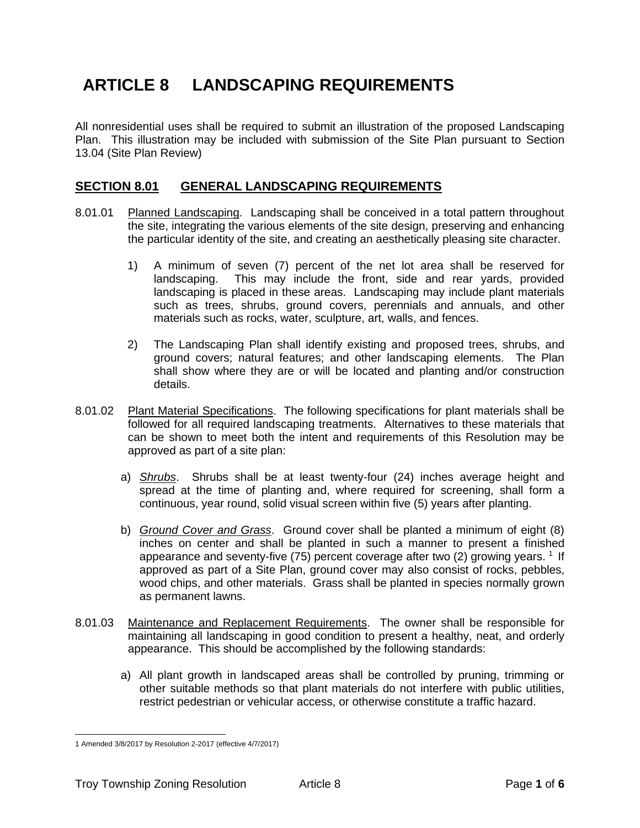# **ARTICLE 8 LANDSCAPING REQUIREMENTS**

All nonresidential uses shall be required to submit an illustration of the proposed Landscaping Plan. This illustration may be included with submission of the Site Plan pursuant to Section 13.04 (Site Plan Review)

## **SECTION 8.01 GENERAL LANDSCAPING REQUIREMENTS**

- 8.01.01 Planned Landscaping. Landscaping shall be conceived in a total pattern throughout the site, integrating the various elements of the site design, preserving and enhancing the particular identity of the site, and creating an aesthetically pleasing site character.
	- 1) A minimum of seven (7) percent of the net lot area shall be reserved for landscaping. This may include the front, side and rear yards, provided landscaping is placed in these areas. Landscaping may include plant materials such as trees, shrubs, ground covers, perennials and annuals, and other materials such as rocks, water, sculpture, art, walls, and fences.
	- 2) The Landscaping Plan shall identify existing and proposed trees, shrubs, and ground covers; natural features; and other landscaping elements. The Plan shall show where they are or will be located and planting and/or construction details.
- 8.01.02 Plant Material Specifications. The following specifications for plant materials shall be followed for all required landscaping treatments. Alternatives to these materials that can be shown to meet both the intent and requirements of this Resolution may be approved as part of a site plan:
	- a) *Shrubs*. Shrubs shall be at least twenty-four (24) inches average height and spread at the time of planting and, where required for screening, shall form a continuous, year round, solid visual screen within five (5) years after planting.
	- b) *Ground Cover and Grass*. Ground cover shall be planted a minimum of eight (8) inches on center and shall be planted in such a manner to present a finished appearance and seventy-five (75) percent coverage after two (2) growing years.  $^1$  If approved as part of a Site Plan, ground cover may also consist of rocks, pebbles, wood chips, and other materials. Grass shall be planted in species normally grown as permanent lawns.
- 8.01.03 Maintenance and Replacement Requirements. The owner shall be responsible for maintaining all landscaping in good condition to present a healthy, neat, and orderly appearance. This should be accomplished by the following standards:
	- a) All plant growth in landscaped areas shall be controlled by pruning, trimming or other suitable methods so that plant materials do not interfere with public utilities, restrict pedestrian or vehicular access, or otherwise constitute a traffic hazard.

<sup>1</sup> Amended 3/8/2017 by Resolution 2-2017 (effective 4/7/2017)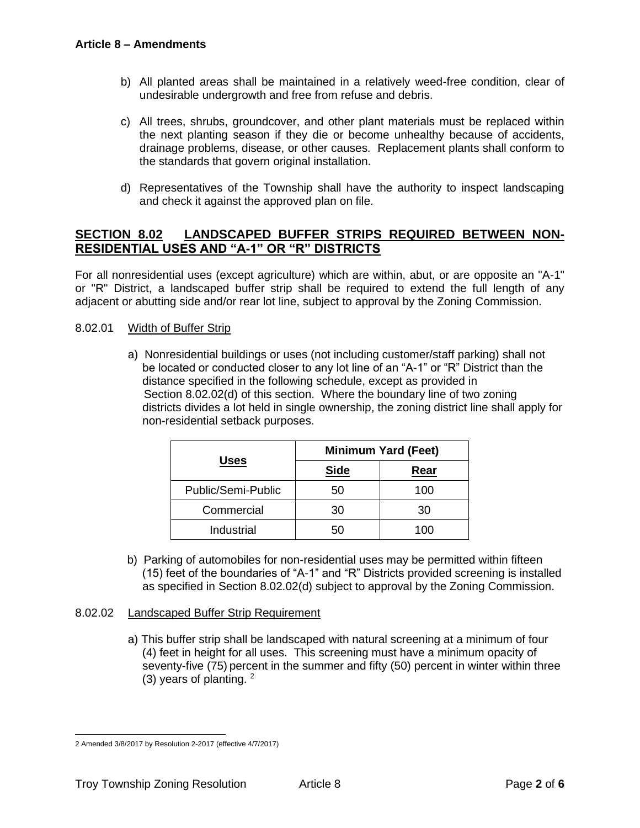- b) All planted areas shall be maintained in a relatively weed-free condition, clear of undesirable undergrowth and free from refuse and debris.
- c) All trees, shrubs, groundcover, and other plant materials must be replaced within the next planting season if they die or become unhealthy because of accidents, drainage problems, disease, or other causes. Replacement plants shall conform to the standards that govern original installation.
- d) Representatives of the Township shall have the authority to inspect landscaping and check it against the approved plan on file.

## **SECTION 8.02 LANDSCAPED BUFFER STRIPS REQUIRED BETWEEN NON-RESIDENTIAL USES AND "A-1" OR "R" DISTRICTS**

For all nonresidential uses (except agriculture) which are within, abut, or are opposite an "A-1" or "R" District, a landscaped buffer strip shall be required to extend the full length of any adjacent or abutting side and/or rear lot line, subject to approval by the Zoning Commission.

#### <span id="page-1-0"></span>8.02.01 Width of Buffer Strip

a) Nonresidential buildings or uses (not including customer/staff parking) shall not be located or conducted closer to any lot line of an "A-1" or "R" District than the distance specified in the following schedule, except as provided in [Section 8.02.02\(d\)](#page-2-0) of this section. Where the boundary line of two zoning districts divides a lot held in single ownership, the zoning district line shall apply for non-residential setback purposes.

| <b>Uses</b>        | <b>Minimum Yard (Feet)</b> |      |
|--------------------|----------------------------|------|
|                    | <b>Side</b>                | Rear |
| Public/Semi-Public | 50                         | 100  |
| Commercial         | 30                         | 30   |
| Industrial         | 50                         | 100  |

 b) Parking of automobiles for non-residential uses may be permitted within fifteen (15) feet of the boundaries of "A-1" and "R" Districts provided screening is installed as specified in [Section 8.02.02\(d\)](#page-2-0) subject to approval by the Zoning Commission.

#### 8.02.02 Landscaped Buffer Strip Requirement

a) This buffer strip shall be landscaped with natural screening at a minimum of four (4) feet in height for all uses. This screening must have a minimum opacity of seventy-five (75) percent in the summer and fifty (50) percent in winter within three (3) years of planting.  $2^2$ 

<sup>2</sup> Amended 3/8/2017 by Resolution 2-2017 (effective 4/7/2017)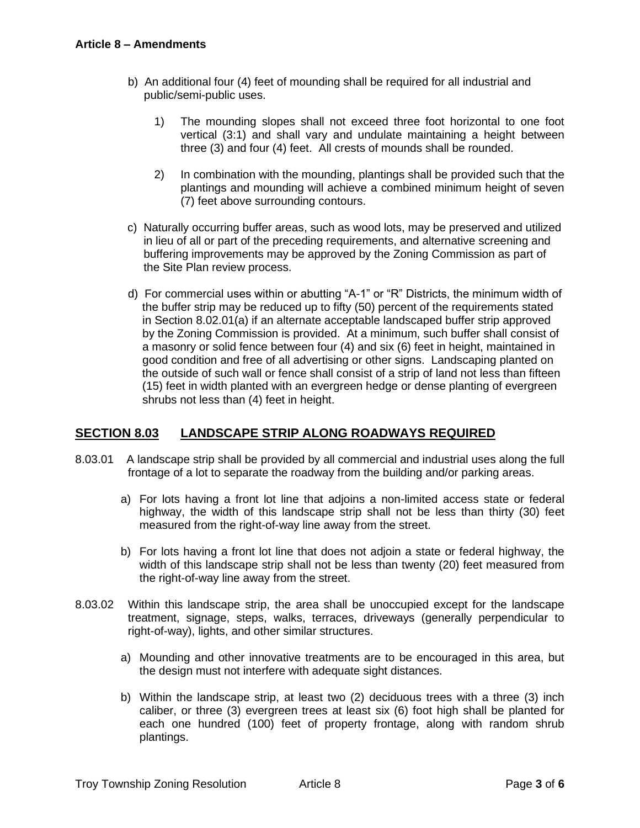- b) An additional four (4) feet of mounding shall be required for all industrial and public/semi-public uses.
	- 1) The mounding slopes shall not exceed three foot horizontal to one foot vertical (3:1) and shall vary and undulate maintaining a height between three (3) and four (4) feet. All crests of mounds shall be rounded.
	- 2) In combination with the mounding, plantings shall be provided such that the plantings and mounding will achieve a combined minimum height of seven (7) feet above surrounding contours.
- c) Naturally occurring buffer areas, such as wood lots, may be preserved and utilized in lieu of all or part of the preceding requirements, and alternative screening and buffering improvements may be approved by the Zoning Commission as part of the Site Plan review process.
- <span id="page-2-0"></span>d) For commercial uses within or abutting "A-1" or "R" Districts, the minimum width of the buffer strip may be reduced up to fifty (50) percent of the requirements stated in [Section 8.02.01\(a\)](#page-1-0) if an alternate acceptable landscaped buffer strip approved by the Zoning Commission is provided. At a minimum, such buffer shall consist of a masonry or solid fence between four (4) and six (6) feet in height, maintained in good condition and free of all advertising or other signs. Landscaping planted on the outside of such wall or fence shall consist of a strip of land not less than fifteen (15) feet in width planted with an evergreen hedge or dense planting of evergreen shrubs not less than (4) feet in height.

## **SECTION 8.03 LANDSCAPE STRIP ALONG ROADWAYS REQUIRED**

- 8.03.01 A landscape strip shall be provided by all commercial and industrial uses along the full frontage of a lot to separate the roadway from the building and/or parking areas.
	- a) For lots having a front lot line that adjoins a non-limited access state or federal highway, the width of this landscape strip shall not be less than thirty (30) feet measured from the right-of-way line away from the street.
	- b) For lots having a front lot line that does not adjoin a state or federal highway, the width of this landscape strip shall not be less than twenty (20) feet measured from the right-of-way line away from the street.
- 8.03.02 Within this landscape strip, the area shall be unoccupied except for the landscape treatment, signage, steps, walks, terraces, driveways (generally perpendicular to right-of-way), lights, and other similar structures.
	- a) Mounding and other innovative treatments are to be encouraged in this area, but the design must not interfere with adequate sight distances.
	- b) Within the landscape strip, at least two (2) deciduous trees with a three (3) inch caliber, or three (3) evergreen trees at least six (6) foot high shall be planted for each one hundred (100) feet of property frontage, along with random shrub plantings.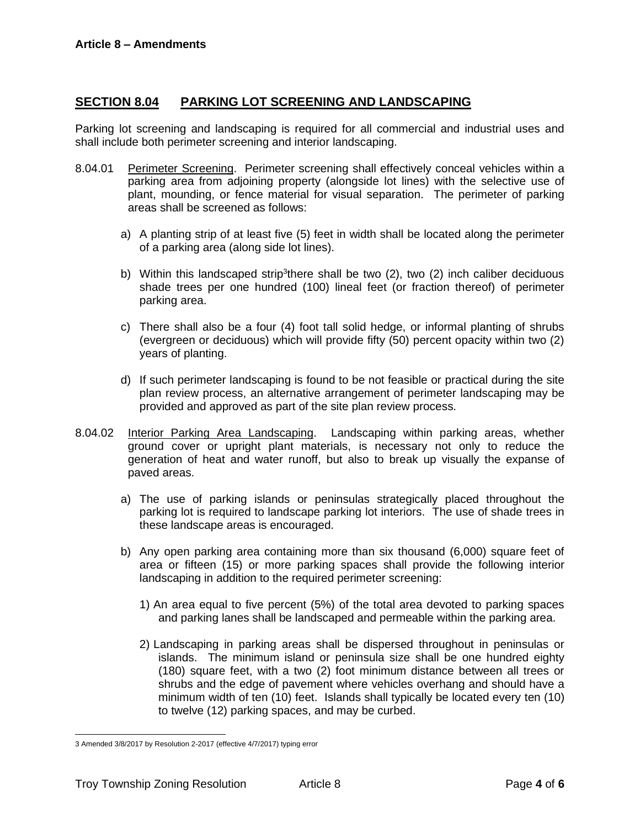## **SECTION 8.04 PARKING LOT SCREENING AND LANDSCAPING**

Parking lot screening and landscaping is required for all commercial and industrial uses and shall include both perimeter screening and interior landscaping.

- 8.04.01 Perimeter Screening. Perimeter screening shall effectively conceal vehicles within a parking area from adjoining property (alongside lot lines) with the selective use of plant, mounding, or fence material for visual separation. The perimeter of parking areas shall be screened as follows:
	- a) A planting strip of at least five (5) feet in width shall be located along the perimeter of a parking area (along side lot lines).
	- b) Within this landscaped strip<sup>3</sup>there shall be two (2), two (2) inch caliber deciduous shade trees per one hundred (100) lineal feet (or fraction thereof) of perimeter parking area.
	- c) There shall also be a four (4) foot tall solid hedge, or informal planting of shrubs (evergreen or deciduous) which will provide fifty (50) percent opacity within two (2) years of planting.
	- d) If such perimeter landscaping is found to be not feasible or practical during the site plan review process, an alternative arrangement of perimeter landscaping may be provided and approved as part of the site plan review process.
- 8.04.02 Interior Parking Area Landscaping. Landscaping within parking areas, whether ground cover or upright plant materials, is necessary not only to reduce the generation of heat and water runoff, but also to break up visually the expanse of paved areas.
	- a) The use of parking islands or peninsulas strategically placed throughout the parking lot is required to landscape parking lot interiors. The use of shade trees in these landscape areas is encouraged.
	- b) Any open parking area containing more than six thousand (6,000) square feet of area or fifteen (15) or more parking spaces shall provide the following interior landscaping in addition to the required perimeter screening:
		- 1) An area equal to five percent (5%) of the total area devoted to parking spaces and parking lanes shall be landscaped and permeable within the parking area.
		- 2) Landscaping in parking areas shall be dispersed throughout in peninsulas or islands. The minimum island or peninsula size shall be one hundred eighty (180) square feet, with a two (2) foot minimum distance between all trees or shrubs and the edge of pavement where vehicles overhang and should have a minimum width of ten (10) feet. Islands shall typically be located every ten (10) to twelve (12) parking spaces, and may be curbed.

<sup>3</sup> Amended 3/8/2017 by Resolution 2-2017 (effective 4/7/2017) typing error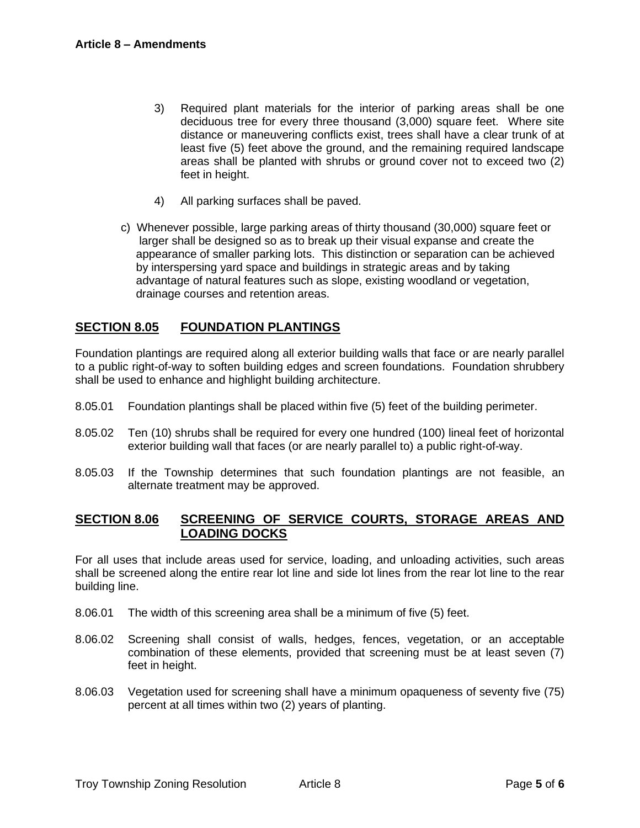- 3) Required plant materials for the interior of parking areas shall be one deciduous tree for every three thousand (3,000) square feet. Where site distance or maneuvering conflicts exist, trees shall have a clear trunk of at least five (5) feet above the ground, and the remaining required landscape areas shall be planted with shrubs or ground cover not to exceed two (2) feet in height.
- 4) All parking surfaces shall be paved.
- c) Whenever possible, large parking areas of thirty thousand (30,000) square feet or larger shall be designed so as to break up their visual expanse and create the appearance of smaller parking lots. This distinction or separation can be achieved by interspersing yard space and buildings in strategic areas and by taking advantage of natural features such as slope, existing woodland or vegetation, drainage courses and retention areas.

## **SECTION 8.05 FOUNDATION PLANTINGS**

Foundation plantings are required along all exterior building walls that face or are nearly parallel to a public right-of-way to soften building edges and screen foundations. Foundation shrubbery shall be used to enhance and highlight building architecture.

- 8.05.01 Foundation plantings shall be placed within five (5) feet of the building perimeter.
- 8.05.02 Ten (10) shrubs shall be required for every one hundred (100) lineal feet of horizontal exterior building wall that faces (or are nearly parallel to) a public right-of-way.
- 8.05.03 If the Township determines that such foundation plantings are not feasible, an alternate treatment may be approved.

#### **SECTION 8.06 SCREENING OF SERVICE COURTS, STORAGE AREAS AND LOADING DOCKS**

For all uses that include areas used for service, loading, and unloading activities, such areas shall be screened along the entire rear lot line and side lot lines from the rear lot line to the rear building line.

- 8.06.01 The width of this screening area shall be a minimum of five (5) feet.
- 8.06.02 Screening shall consist of walls, hedges, fences, vegetation, or an acceptable combination of these elements, provided that screening must be at least seven (7) feet in height.
- 8.06.03 Vegetation used for screening shall have a minimum opaqueness of seventy five (75) percent at all times within two (2) years of planting.